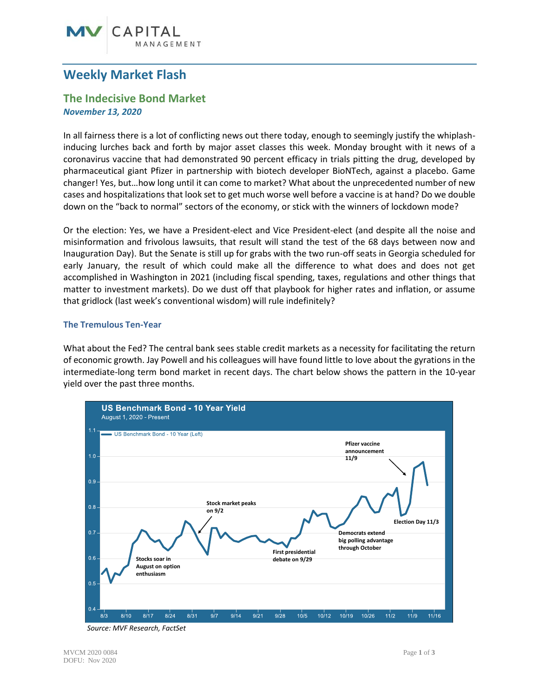# CAPITAL

## **Weekly Market Flash**

### **The Indecisive Bond Market** *November 13, 2020*

In all fairness there is a lot of conflicting news out there today, enough to seemingly justify the whiplashinducing lurches back and forth by major asset classes this week. Monday brought with it news of a coronavirus vaccine that had demonstrated 90 percent efficacy in trials pitting the drug, developed by pharmaceutical giant Pfizer in partnership with biotech developer BioNTech, against a placebo. Game changer! Yes, but…how long until it can come to market? What about the unprecedented number of new cases and hospitalizations that look set to get much worse well before a vaccine is at hand? Do we double down on the "back to normal" sectors of the economy, or stick with the winners of lockdown mode?

Or the election: Yes, we have a President-elect and Vice President-elect (and despite all the noise and misinformation and frivolous lawsuits, that result will stand the test of the 68 days between now and Inauguration Day). But the Senate is still up for grabs with the two run-off seats in Georgia scheduled for early January, the result of which could make all the difference to what does and does not get accomplished in Washington in 2021 (including fiscal spending, taxes, regulations and other things that matter to investment markets). Do we dust off that playbook for higher rates and inflation, or assume that gridlock (last week's conventional wisdom) will rule indefinitely?

#### **The Tremulous Ten-Year**

What about the Fed? The central bank sees stable credit markets as a necessity for facilitating the return of economic growth. Jay Powell and his colleagues will have found little to love about the gyrations in the intermediate-long term bond market in recent days. The chart below shows the pattern in the 10-year yield over the past three months.



*Source: MVF Research, FactSet*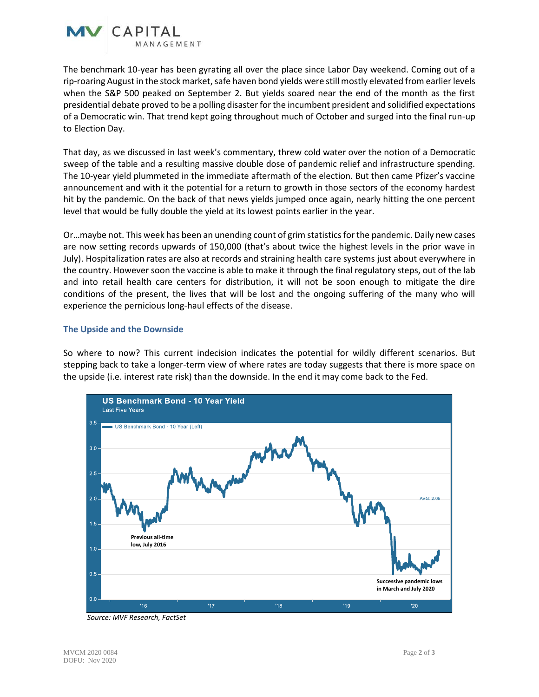

The benchmark 10-year has been gyrating all over the place since Labor Day weekend. Coming out of a rip-roaring August in the stock market, safe haven bond yields were still mostly elevated from earlier levels when the S&P 500 peaked on September 2. But yields soared near the end of the month as the first presidential debate proved to be a polling disaster for the incumbent president and solidified expectations of a Democratic win. That trend kept going throughout much of October and surged into the final run-up to Election Day.

That day, as we discussed in last week's commentary, threw cold water over the notion of a Democratic sweep of the table and a resulting massive double dose of pandemic relief and infrastructure spending. The 10-year yield plummeted in the immediate aftermath of the election. But then came Pfizer's vaccine announcement and with it the potential for a return to growth in those sectors of the economy hardest hit by the pandemic. On the back of that news yields jumped once again, nearly hitting the one percent level that would be fully double the yield at its lowest points earlier in the year.

Or…maybe not. This week has been an unending count of grim statistics for the pandemic. Daily new cases are now setting records upwards of 150,000 (that's about twice the highest levels in the prior wave in July). Hospitalization rates are also at records and straining health care systems just about everywhere in the country. However soon the vaccine is able to make it through the final regulatory steps, out of the lab and into retail health care centers for distribution, it will not be soon enough to mitigate the dire conditions of the present, the lives that will be lost and the ongoing suffering of the many who will experience the pernicious long-haul effects of the disease.

#### **The Upside and the Downside**

So where to now? This current indecision indicates the potential for wildly different scenarios. But stepping back to take a longer-term view of where rates are today suggests that there is more space on the upside (i.e. interest rate risk) than the downside. In the end it may come back to the Fed.



*Source: MVF Research, FactSet*